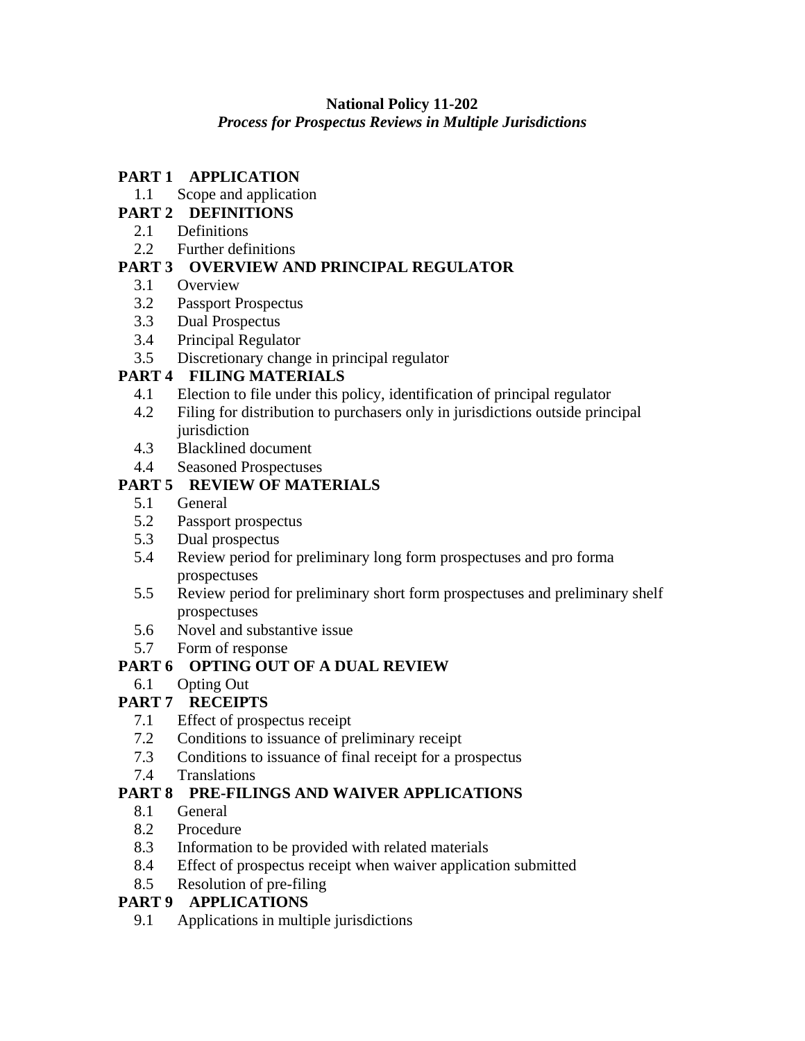#### **National Policy 11-202**  *Process for Prospectus Reviews in Multiple Jurisdictions*

### **PART 1 [APPLICATION](#page-2-0)**

[1.1 Scope and application](#page-2-0)

### **PART 2 [DEFINITIONS](#page-2-0)**

- [2.1 Definitions](#page-2-0)
- [2.2 Further definitions](#page-3-0)

# **PART 3 [OVERVIEW AND PRINCIPAL REGULATOR](#page-3-0)**

- [3.1 Overview](#page-3-0)
- [3.2 Passport Prospectus](#page-3-0)
- [3.3 Dual Prospectus](#page-4-0)
- [3.4 Principal Regulator](#page-4-0)
- [3.5 Discretionary change in principal regulator](#page-5-0)

# **PART 4 [FILING MATERIALS](#page-6-0)**

- [4.1 Election to file under this policy, identification of principal regulator](#page-6-0)
- [4.2 Filing for distribution to purchasers only in jurisdictions outside principal](#page-6-0)  iurisdiction
- [4.3 Blacklined document](#page-6-0)
- [4.4 Seasoned Prospectuses](#page-7-0)

# **PART 5 [REVIEW OF MATERIALS](#page-7-0)**

- [5.1 General](#page-7-0)
- [5.2 Passport prospectus](#page-7-0)
- [5.3 Dual prospectus](#page-7-0)
- [5.4 Review period for preliminary long form prospectuses and pro forma](#page-7-0)  [prospectuses](#page-7-0)
- [5.5 Review period for preliminary short form prospectuses and preliminary shelf](#page-8-0)  [prospectuses](#page-8-0)
- [5.6 Novel and substantive issue](#page-8-0)
- [5.7 Form of response](#page-8-0)

# **PART 6 [OPTING OUT OF A DUAL REVIEW](#page-8-0)**

[6.1 Opting Out](#page-8-0) 

# **PART 7 [RECEIPTS](#page-9-0)**

- [7.1 Effect of prospectus receipt](#page-9-0)
- [7.2 Conditions to issuance of preliminary receipt](#page-9-0)
- [7.3 Conditions to issuance of final receipt for a prospectus](#page-10-0)
- [7.4 Translations](#page-11-0)

# **PART 8 [PRE-FILINGS AND WAIVER APPLICATIONS](#page-11-0)**

- [8.1 General](#page-11-0)
- [8.2 Procedure](#page-11-0)
- [8.3 Information to be provided with related materials](#page-13-0)
- [8.4 Effect of prospectus receipt when waiver application submitted](#page-14-0)
- [8.5 Resolution of pre-filing](#page-14-0)

### **PART 9 [APPLICATIONS](#page-14-0)**

[9.1 Applications in multiple jurisdictions](#page-14-0)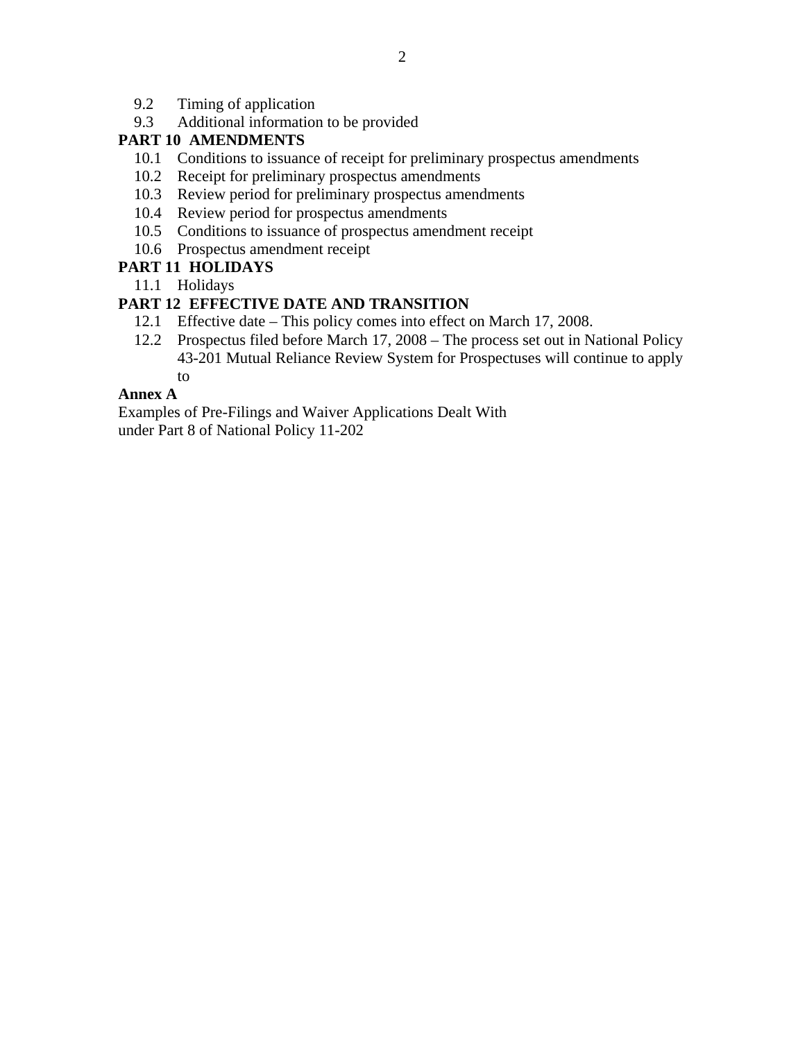- [9.2 Timing of application](#page-15-0)
- [9.3 Additional information to be provided](#page-15-0)

### **[PART 10 AMENDMENTS](#page-15-0)**

- [10.1 Conditions to issuance of receipt for preliminary prospectus amendments](#page-15-0)
- [10.2 Receipt for preliminary prospectus amendments](#page-16-0)
- [10.3 Review period for preliminary prospectus amendments](#page-16-0)
- [10.4 Review period for prospectus amendments](#page-17-0)
- [10.5 Conditions to issuance of prospectus amendment receipt](#page-18-0)
- [10.6 Prospectus amendment receipt](#page-19-0)

### **[PART 11 HOLIDAYS](#page-19-0)**

[11.1 Holidays](#page-19-0)

### **PART 12 [EFFECTIVE DATE AND TRANSITION](#page-19-0)**

- [12.1 Effective date This policy comes into effect on March 17, 2008.](#page-19-0)
- [12.2 Prospectus filed before March 17, 2008 The process set out in National Policy](#page-19-0)  [43-201 Mutual Reliance Review System for Prospectuses will continue to apply](#page-19-0)

[to](#page-19-0)

#### **[Annex A](#page-21-0)**

[Examples of Pre-Filings and Waiver Applications Dealt With](#page-21-0) [under Part 8 of National Policy 11-202](#page-21-0)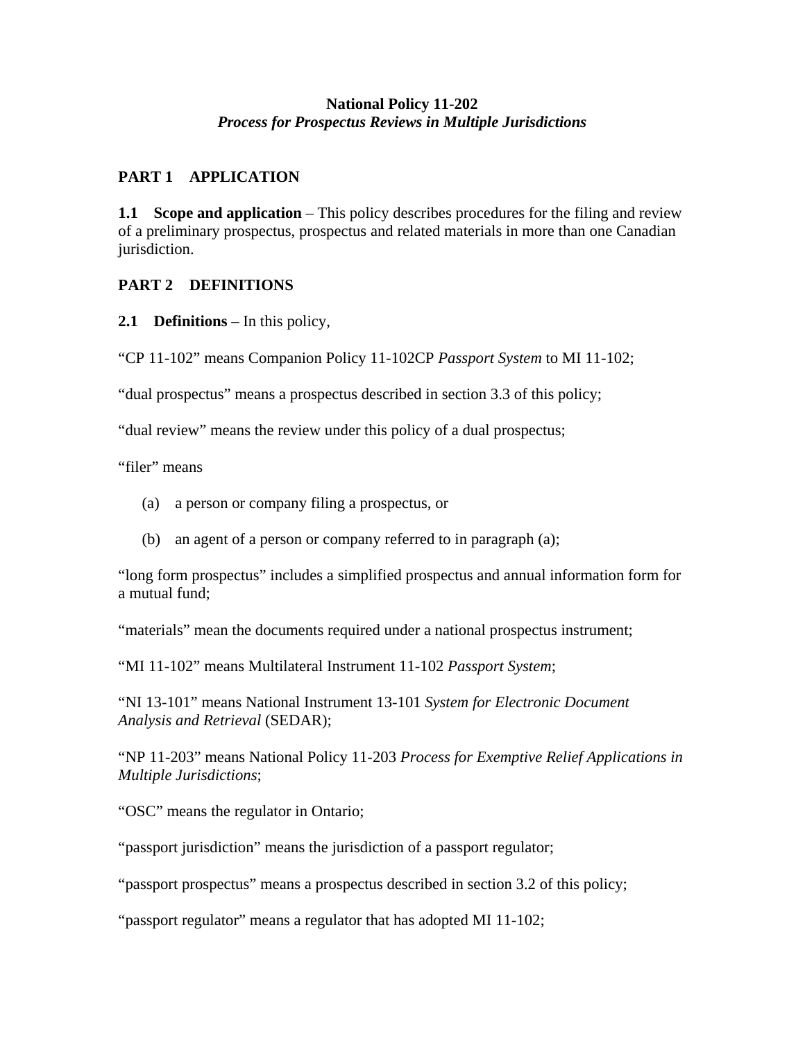#### **National Policy 11-202**  *Process for Prospectus Reviews in Multiple Jurisdictions*

#### <span id="page-2-0"></span>**PART 1 APPLICATION**

**1.1 Scope and application** – This policy describes procedures for the filing and review of a preliminary prospectus, prospectus and related materials in more than one Canadian jurisdiction.

### **PART 2 DEFINITIONS**

**2.1 Definitions** *–* In this policy,

"CP 11-102" means Companion Policy 11-102CP *Passport System* to MI 11-102;

"dual prospectus" means a prospectus described in section 3.3 of this policy;

"dual review" means the review under this policy of a dual prospectus;

"filer" means

- (a) a person or company filing a prospectus, or
- (b) an agent of a person or company referred to in paragraph (a);

"long form prospectus" includes a simplified prospectus and annual information form for a mutual fund;

"materials" mean the documents required under a national prospectus instrument;

"MI 11-102" means Multilateral Instrument 11-102 *Passport System*;

"NI 13-101" means National Instrument 13-101 *System for Electronic Document Analysis and Retrieval* (SEDAR);

"NP 11-203" means National Policy 11-203 *Process for Exemptive Relief Applications in Multiple Jurisdictions*;

"OSC" means the regulator in Ontario;

"passport jurisdiction" means the jurisdiction of a passport regulator;

"passport prospectus" means a prospectus described in section 3.2 of this policy;

"passport regulator" means a regulator that has adopted MI 11-102;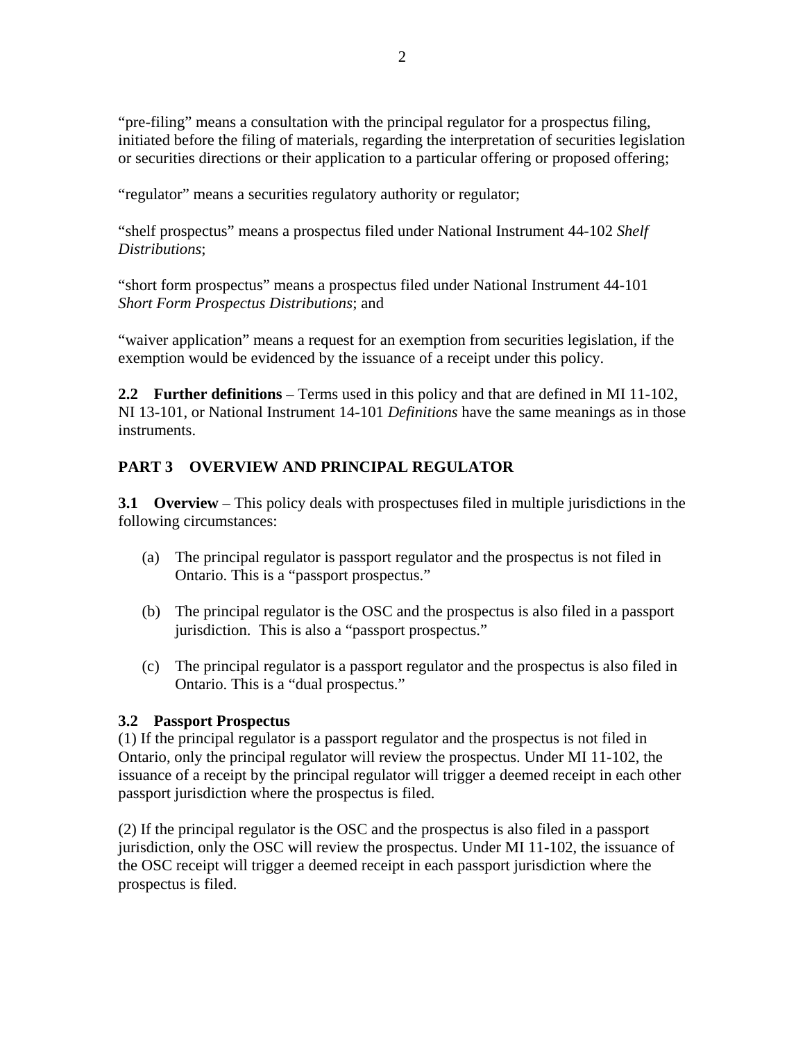<span id="page-3-0"></span>"pre-filing" means a consultation with the principal regulator for a prospectus filing, initiated before the filing of materials, regarding the interpretation of securities legislation or securities directions or their application to a particular offering or proposed offering;

"regulator" means a securities regulatory authority or regulator;

"shelf prospectus" means a prospectus filed under National Instrument 44-102 *Shelf Distributions*;

"short form prospectus" means a prospectus filed under National Instrument 44-101 *Short Form Prospectus Distributions*; and

"waiver application" means a request for an exemption from securities legislation, if the exemption would be evidenced by the issuance of a receipt under this policy.

**2.2 Further definitions** – Terms used in this policy and that are defined in MI 11-102, NI 13-101, or National Instrument 14-101 *Definitions* have the same meanings as in those instruments.

### **PART 3 OVERVIEW AND PRINCIPAL REGULATOR**

**3.1 Overview** – This policy deals with prospectuses filed in multiple jurisdictions in the following circumstances:

- (a) The principal regulator is passport regulator and the prospectus is not filed in Ontario. This is a "passport prospectus."
- (b) The principal regulator is the OSC and the prospectus is also filed in a passport jurisdiction. This is also a "passport prospectus."
- (c) The principal regulator is a passport regulator and the prospectus is also filed in Ontario. This is a "dual prospectus."

#### **3.2 Passport Prospectus**

(1) If the principal regulator is a passport regulator and the prospectus is not filed in Ontario, only the principal regulator will review the prospectus. Under MI 11-102, the issuance of a receipt by the principal regulator will trigger a deemed receipt in each other passport jurisdiction where the prospectus is filed.

(2) If the principal regulator is the OSC and the prospectus is also filed in a passport jurisdiction, only the OSC will review the prospectus. Under MI 11-102, the issuance of the OSC receipt will trigger a deemed receipt in each passport jurisdiction where the prospectus is filed.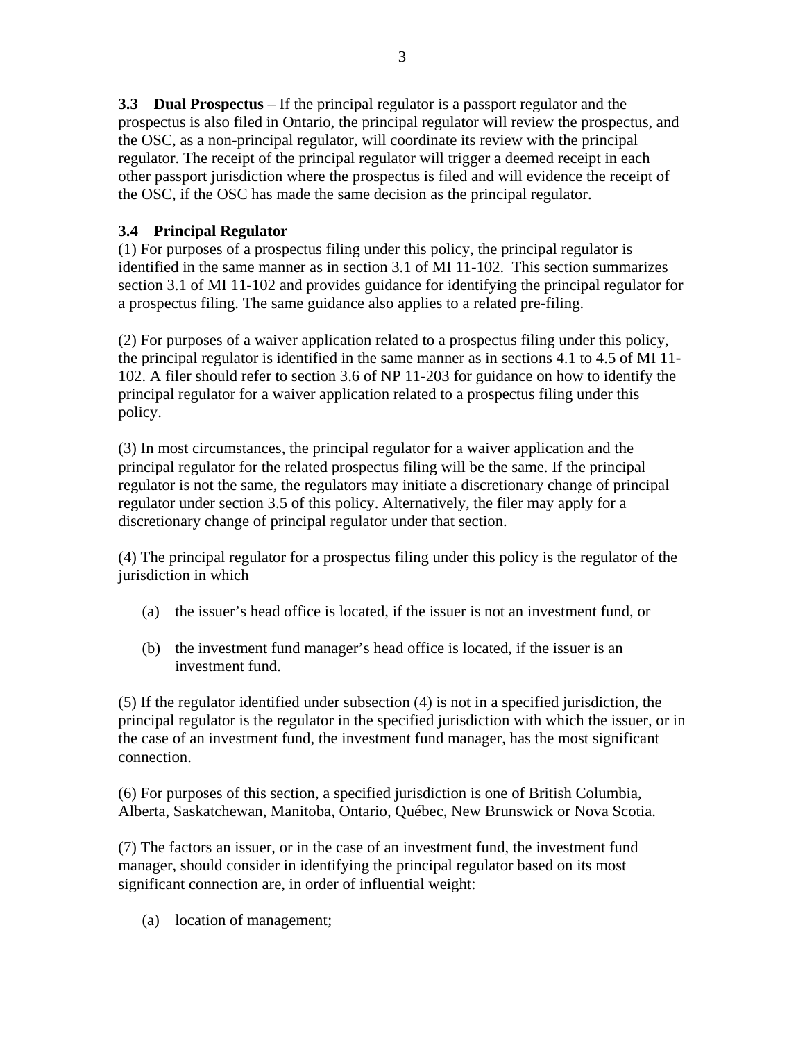<span id="page-4-0"></span>**3.3 Dual Prospectus** – If the principal regulator is a passport regulator and the prospectus is also filed in Ontario, the principal regulator will review the prospectus, and the OSC, as a non-principal regulator, will coordinate its review with the principal regulator. The receipt of the principal regulator will trigger a deemed receipt in each other passport jurisdiction where the prospectus is filed and will evidence the receipt of the OSC, if the OSC has made the same decision as the principal regulator.

### **3.4 Principal Regulator**

(1) For purposes of a prospectus filing under this policy, the principal regulator is identified in the same manner as in section 3.1 of MI 11-102. This section summarizes section 3.1 of MI 11-102 and provides guidance for identifying the principal regulator for a prospectus filing. The same guidance also applies to a related pre-filing.

(2) For purposes of a waiver application related to a prospectus filing under this policy, the principal regulator is identified in the same manner as in sections 4.1 to 4.5 of MI 11- 102. A filer should refer to section 3.6 of NP 11-203 for guidance on how to identify the principal regulator for a waiver application related to a prospectus filing under this policy.

(3) In most circumstances, the principal regulator for a waiver application and the principal regulator for the related prospectus filing will be the same. If the principal regulator is not the same, the regulators may initiate a discretionary change of principal regulator under section 3.5 of this policy. Alternatively, the filer may apply for a discretionary change of principal regulator under that section.

(4) The principal regulator for a prospectus filing under this policy is the regulator of the jurisdiction in which

- (a) the issuer's head office is located, if the issuer is not an investment fund, or
- (b) the investment fund manager's head office is located, if the issuer is an investment fund.

(5) If the regulator identified under subsection (4) is not in a specified jurisdiction, the principal regulator is the regulator in the specified jurisdiction with which the issuer, or in the case of an investment fund, the investment fund manager, has the most significant connection.

(6) For purposes of this section, a specified jurisdiction is one of British Columbia, Alberta, Saskatchewan, Manitoba, Ontario, Québec, New Brunswick or Nova Scotia.

(7) The factors an issuer, or in the case of an investment fund, the investment fund manager, should consider in identifying the principal regulator based on its most significant connection are, in order of influential weight:

(a) location of management;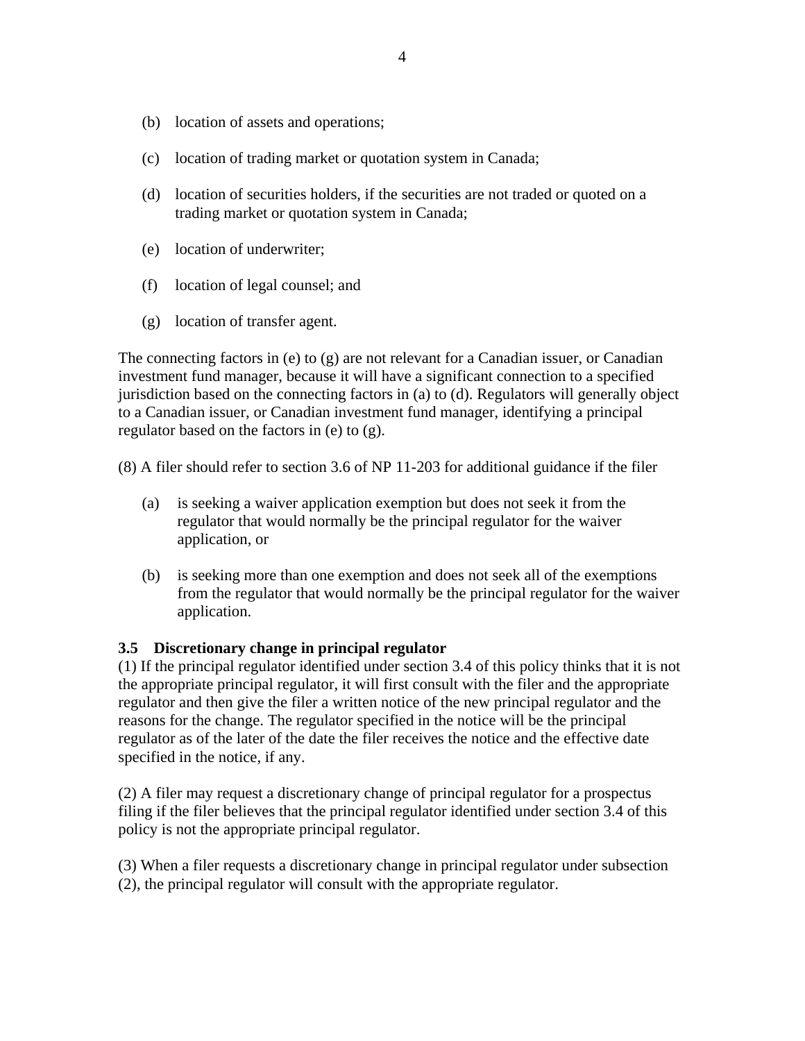- <span id="page-5-0"></span>(b) location of assets and operations;
- (c) location of trading market or quotation system in Canada;
- (d) location of securities holders, if the securities are not traded or quoted on a trading market or quotation system in Canada;
- (e) location of underwriter;
- (f) location of legal counsel; and
- (g) location of transfer agent.

The connecting factors in (e) to (g) are not relevant for a Canadian issuer, or Canadian investment fund manager, because it will have a significant connection to a specified jurisdiction based on the connecting factors in (a) to (d). Regulators will generally object to a Canadian issuer, or Canadian investment fund manager, identifying a principal regulator based on the factors in (e) to (g).

(8) A filer should refer to section 3.6 of NP 11-203 for additional guidance if the filer

- (a) is seeking a waiver application exemption but does not seek it from the regulator that would normally be the principal regulator for the waiver application, or
- (b) is seeking more than one exemption and does not seek all of the exemptions from the regulator that would normally be the principal regulator for the waiver application.

#### **3.5 Discretionary change in principal regulator**

(1) If the principal regulator identified under section 3.4 of this policy thinks that it is not the appropriate principal regulator, it will first consult with the filer and the appropriate regulator and then give the filer a written notice of the new principal regulator and the reasons for the change. The regulator specified in the notice will be the principal regulator as of the later of the date the filer receives the notice and the effective date specified in the notice, if any.

(2) A filer may request a discretionary change of principal regulator for a prospectus filing if the filer believes that the principal regulator identified under section 3.4 of this policy is not the appropriate principal regulator.

(3) When a filer requests a discretionary change in principal regulator under subsection (2), the principal regulator will consult with the appropriate regulator.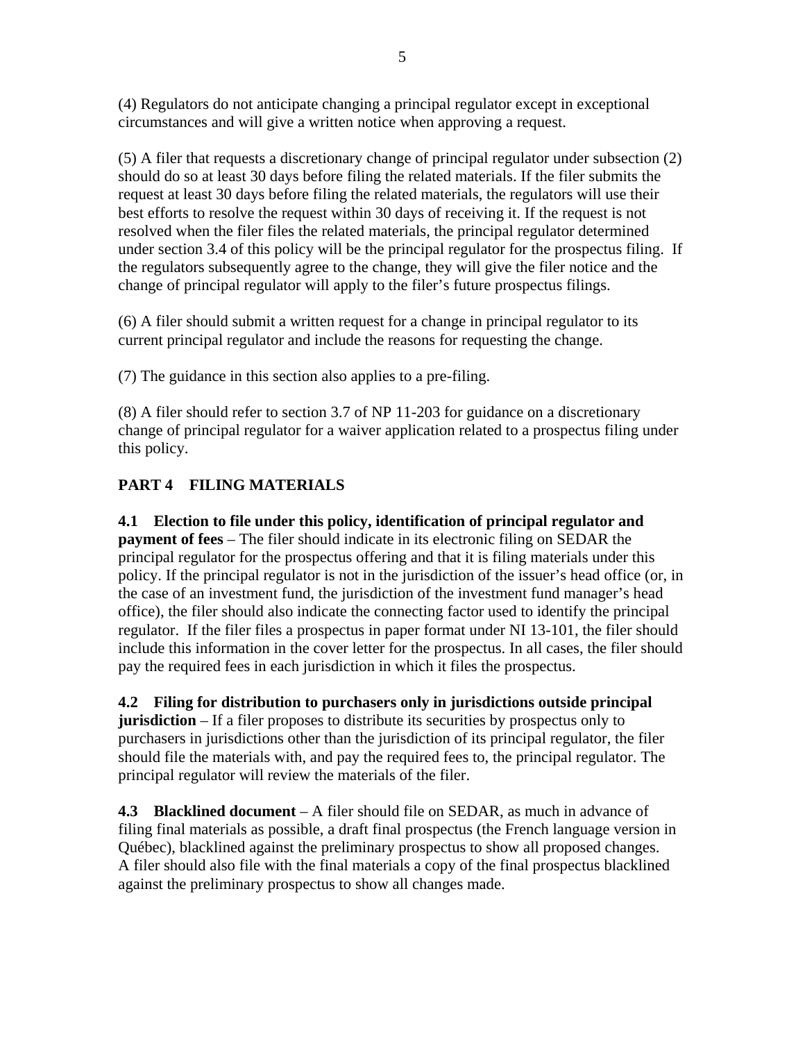<span id="page-6-0"></span>(4) Regulators do not anticipate changing a principal regulator except in exceptional circumstances and will give a written notice when approving a request.

(5) A filer that requests a discretionary change of principal regulator under subsection (2) should do so at least 30 days before filing the related materials. If the filer submits the request at least 30 days before filing the related materials, the regulators will use their best efforts to resolve the request within 30 days of receiving it. If the request is not resolved when the filer files the related materials, the principal regulator determined under section 3.4 of this policy will be the principal regulator for the prospectus filing. If the regulators subsequently agree to the change, they will give the filer notice and the change of principal regulator will apply to the filer's future prospectus filings.

(6) A filer should submit a written request for a change in principal regulator to its current principal regulator and include the reasons for requesting the change.

(7) The guidance in this section also applies to a pre-filing.

(8) A filer should refer to section 3.7 of NP 11-203 for guidance on a discretionary change of principal regulator for a waiver application related to a prospectus filing under this policy.

### **PART 4 FILING MATERIALS**

**4.1 Election to file under this policy, identification of principal regulator and payment of fees** – The filer should indicate in its electronic filing on SEDAR the principal regulator for the prospectus offering and that it is filing materials under this policy. If the principal regulator is not in the jurisdiction of the issuer's head office (or, in the case of an investment fund, the jurisdiction of the investment fund manager's head office), the filer should also indicate the connecting factor used to identify the principal regulator. If the filer files a prospectus in paper format under NI 13-101, the filer should include this information in the cover letter for the prospectus. In all cases, the filer should pay the required fees in each jurisdiction in which it files the prospectus.

**4.2 Filing for distribution to purchasers only in jurisdictions outside principal jurisdiction** – If a filer proposes to distribute its securities by prospectus only to purchasers in jurisdictions other than the jurisdiction of its principal regulator, the filer should file the materials with, and pay the required fees to, the principal regulator. The principal regulator will review the materials of the filer.

**4.3 Blacklined document** – A filer should file on SEDAR, as much in advance of filing final materials as possible, a draft final prospectus (the French language version in Québec), blacklined against the preliminary prospectus to show all proposed changes. A filer should also file with the final materials a copy of the final prospectus blacklined against the preliminary prospectus to show all changes made.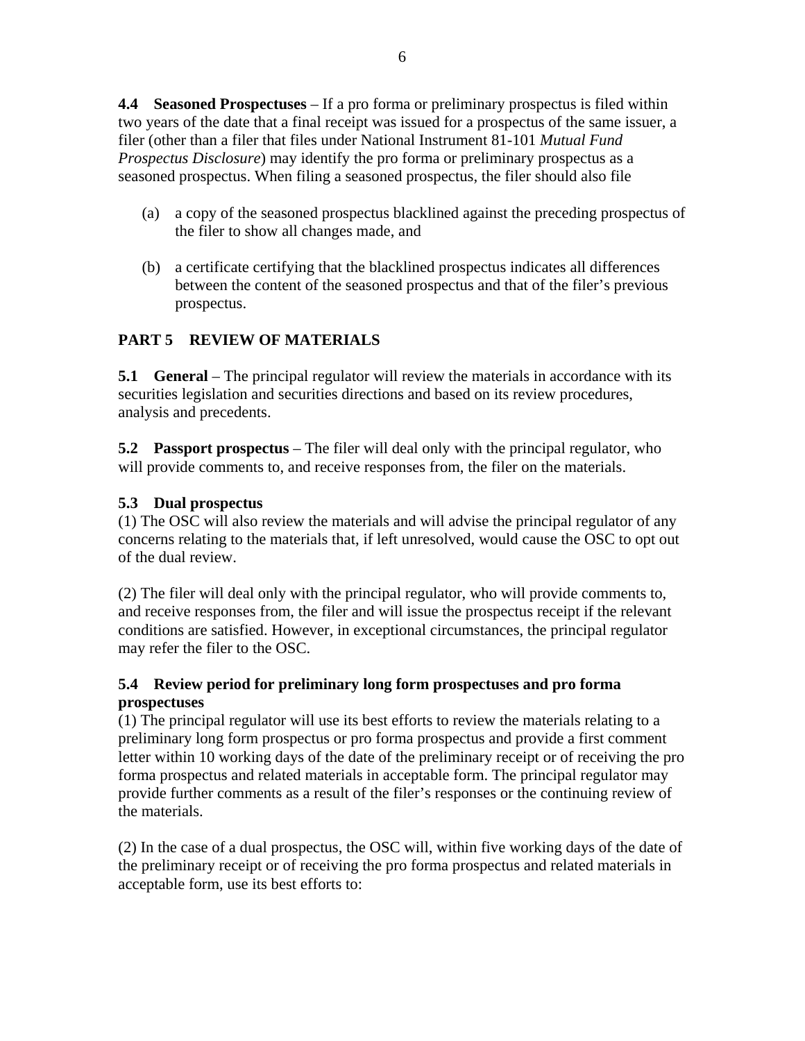<span id="page-7-0"></span>**4.4 Seasoned Prospectuses** – If a pro forma or preliminary prospectus is filed within two years of the date that a final receipt was issued for a prospectus of the same issuer, a filer (other than a filer that files under National Instrument 81-101 *Mutual Fund Prospectus Disclosure*) may identify the pro forma or preliminary prospectus as a seasoned prospectus. When filing a seasoned prospectus, the filer should also file

- (a) a copy of the seasoned prospectus blacklined against the preceding prospectus of the filer to show all changes made, and
- (b) a certificate certifying that the blacklined prospectus indicates all differences between the content of the seasoned prospectus and that of the filer's previous prospectus.

### **PART 5 REVIEW OF MATERIALS**

**5.1 General** – The principal regulator will review the materials in accordance with its securities legislation and securities directions and based on its review procedures, analysis and precedents.

**5.2 Passport prospectus** – The filer will deal only with the principal regulator, who will provide comments to, and receive responses from, the filer on the materials.

### **5.3 Dual prospectus**

(1) The OSC will also review the materials and will advise the principal regulator of any concerns relating to the materials that, if left unresolved, would cause the OSC to opt out of the dual review.

(2) The filer will deal only with the principal regulator, who will provide comments to, and receive responses from, the filer and will issue the prospectus receipt if the relevant conditions are satisfied. However, in exceptional circumstances, the principal regulator may refer the filer to the OSC.

#### **5.4 Review period for preliminary long form prospectuses and pro forma prospectuses**

(1) The principal regulator will use its best efforts to review the materials relating to a preliminary long form prospectus or pro forma prospectus and provide a first comment letter within 10 working days of the date of the preliminary receipt or of receiving the pro forma prospectus and related materials in acceptable form. The principal regulator may provide further comments as a result of the filer's responses or the continuing review of the materials.

(2) In the case of a dual prospectus, the OSC will, within five working days of the date of the preliminary receipt or of receiving the pro forma prospectus and related materials in acceptable form, use its best efforts to: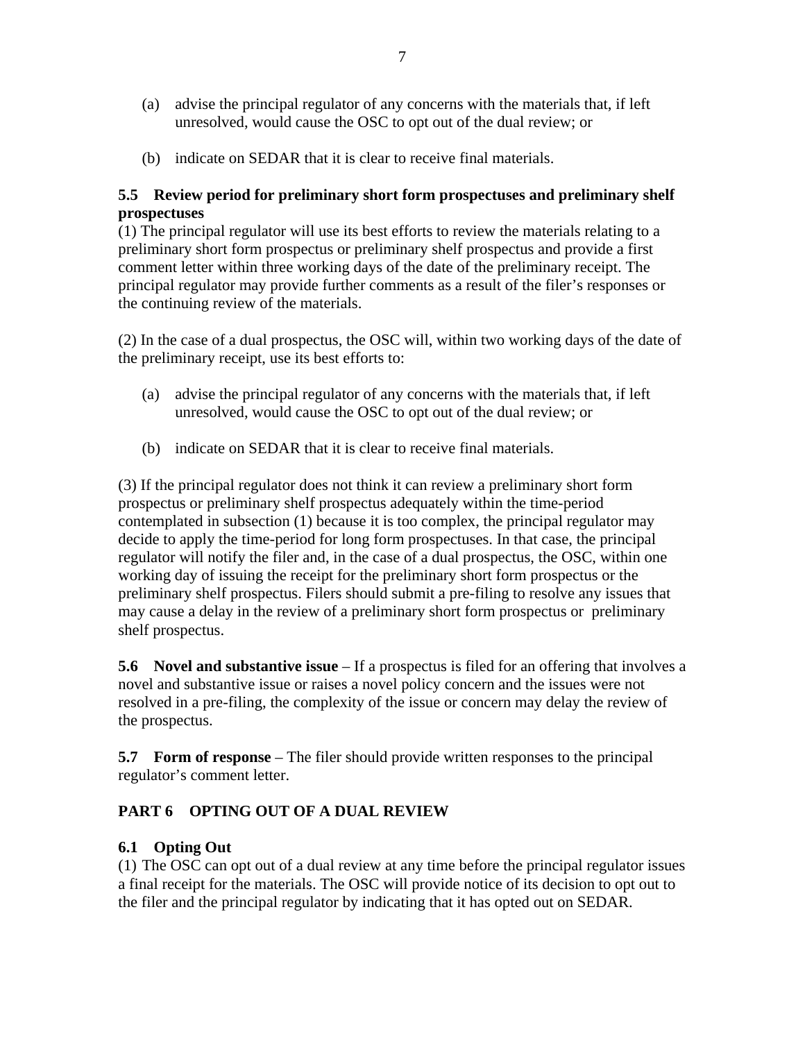- <span id="page-8-0"></span>(a) advise the principal regulator of any concerns with the materials that, if left unresolved, would cause the OSC to opt out of the dual review; or
- (b) indicate on SEDAR that it is clear to receive final materials.

#### **5.5 Review period for preliminary short form prospectuses and preliminary shelf prospectuses**

(1) The principal regulator will use its best efforts to review the materials relating to a preliminary short form prospectus or preliminary shelf prospectus and provide a first comment letter within three working days of the date of the preliminary receipt. The principal regulator may provide further comments as a result of the filer's responses or the continuing review of the materials.

(2) In the case of a dual prospectus, the OSC will, within two working days of the date of the preliminary receipt, use its best efforts to:

- (a) advise the principal regulator of any concerns with the materials that, if left unresolved, would cause the OSC to opt out of the dual review; or
- (b) indicate on SEDAR that it is clear to receive final materials.

(3) If the principal regulator does not think it can review a preliminary short form prospectus or preliminary shelf prospectus adequately within the time-period contemplated in subsection (1) because it is too complex, the principal regulator may decide to apply the time-period for long form prospectuses. In that case, the principal regulator will notify the filer and, in the case of a dual prospectus, the OSC, within one working day of issuing the receipt for the preliminary short form prospectus or the preliminary shelf prospectus. Filers should submit a pre-filing to resolve any issues that may cause a delay in the review of a preliminary short form prospectus or preliminary shelf prospectus.

**5.6 Novel and substantive issue** – If a prospectus is filed for an offering that involves a novel and substantive issue or raises a novel policy concern and the issues were not resolved in a pre-filing, the complexity of the issue or concern may delay the review of the prospectus.

**5.7 Form of response** – The filer should provide written responses to the principal regulator's comment letter.

### **PART 6 OPTING OUT OF A DUAL REVIEW**

#### **6.1 Opting Out**

(1) The OSC can opt out of a dual review at any time before the principal regulator issues a final receipt for the materials. The OSC will provide notice of its decision to opt out to the filer and the principal regulator by indicating that it has opted out on SEDAR.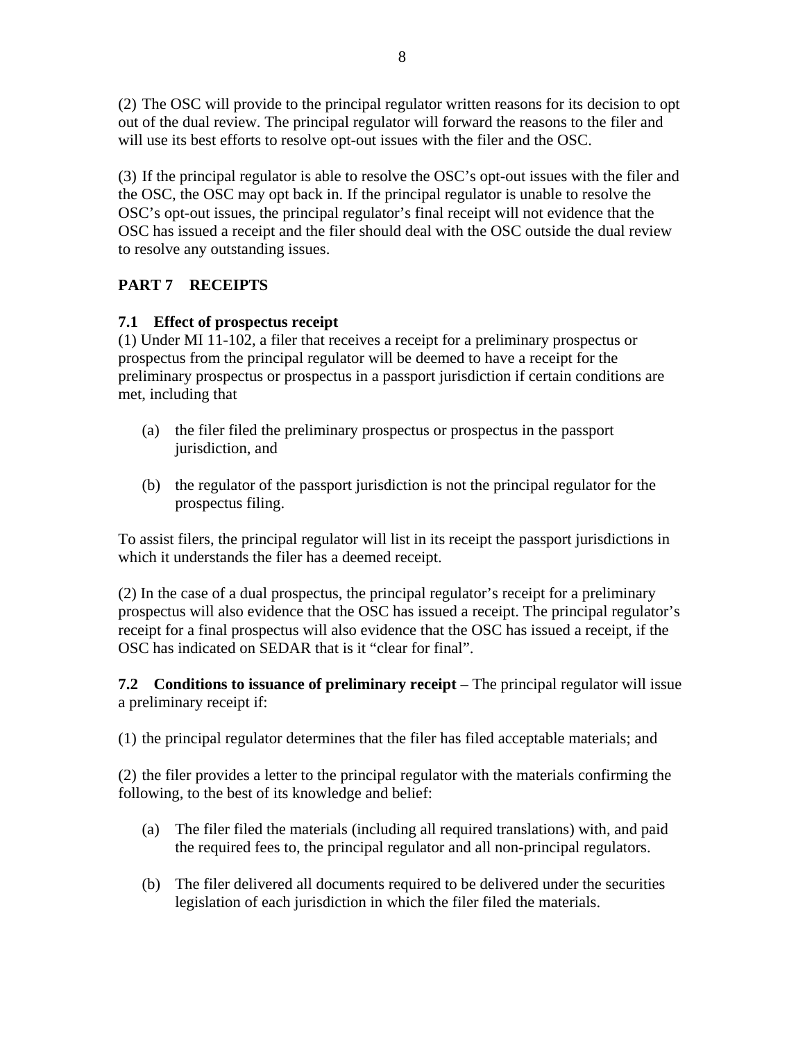<span id="page-9-0"></span>(2) The OSC will provide to the principal regulator written reasons for its decision to opt out of the dual review. The principal regulator will forward the reasons to the filer and will use its best efforts to resolve opt-out issues with the filer and the OSC.

(3) If the principal regulator is able to resolve the OSC's opt-out issues with the filer and the OSC, the OSC may opt back in. If the principal regulator is unable to resolve the OSC's opt-out issues, the principal regulator's final receipt will not evidence that the OSC has issued a receipt and the filer should deal with the OSC outside the dual review to resolve any outstanding issues.

### **PART 7 RECEIPTS**

### **7.1 Effect of prospectus receipt**

(1) Under MI 11-102, a filer that receives a receipt for a preliminary prospectus or prospectus from the principal regulator will be deemed to have a receipt for the preliminary prospectus or prospectus in a passport jurisdiction if certain conditions are met, including that

- (a) the filer filed the preliminary prospectus or prospectus in the passport jurisdiction, and
- (b) the regulator of the passport jurisdiction is not the principal regulator for the prospectus filing.

To assist filers, the principal regulator will list in its receipt the passport jurisdictions in which it understands the filer has a deemed receipt.

(2) In the case of a dual prospectus, the principal regulator's receipt for a preliminary prospectus will also evidence that the OSC has issued a receipt. The principal regulator's receipt for a final prospectus will also evidence that the OSC has issued a receipt, if the OSC has indicated on SEDAR that is it "clear for final".

**7.2 Conditions to issuance of preliminary receipt** – The principal regulator will issue a preliminary receipt if:

(1) the principal regulator determines that the filer has filed acceptable materials; and

(2) the filer provides a letter to the principal regulator with the materials confirming the following, to the best of its knowledge and belief:

- (a) The filer filed the materials (including all required translations) with, and paid the required fees to, the principal regulator and all non-principal regulators.
- (b) The filer delivered all documents required to be delivered under the securities legislation of each jurisdiction in which the filer filed the materials.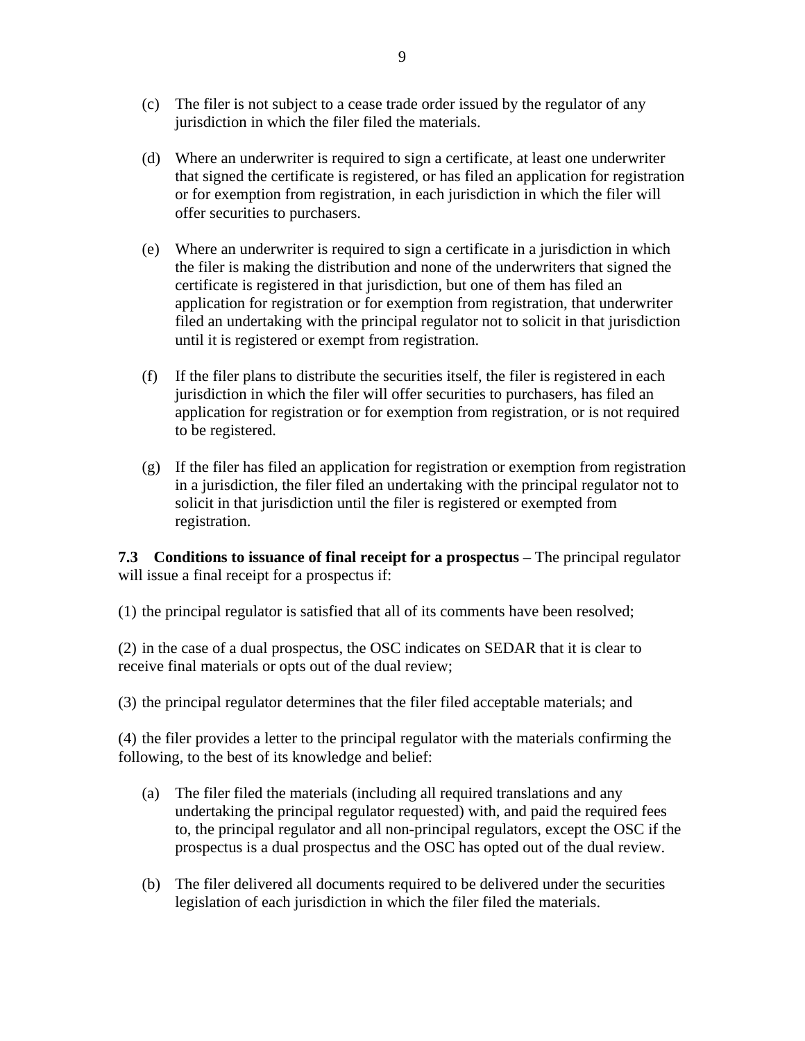- <span id="page-10-0"></span>(c) The filer is not subject to a cease trade order issued by the regulator of any jurisdiction in which the filer filed the materials.
- (d) Where an underwriter is required to sign a certificate, at least one underwriter that signed the certificate is registered, or has filed an application for registration or for exemption from registration, in each jurisdiction in which the filer will offer securities to purchasers.
- (e) Where an underwriter is required to sign a certificate in a jurisdiction in which the filer is making the distribution and none of the underwriters that signed the certificate is registered in that jurisdiction, but one of them has filed an application for registration or for exemption from registration, that underwriter filed an undertaking with the principal regulator not to solicit in that jurisdiction until it is registered or exempt from registration.
- (f) If the filer plans to distribute the securities itself, the filer is registered in each jurisdiction in which the filer will offer securities to purchasers, has filed an application for registration or for exemption from registration, or is not required to be registered.
- (g) If the filer has filed an application for registration or exemption from registration in a jurisdiction, the filer filed an undertaking with the principal regulator not to solicit in that jurisdiction until the filer is registered or exempted from registration.

**7.3 Conditions to issuance of final receipt for a prospectus** – The principal regulator will issue a final receipt for a prospectus if:

(1) the principal regulator is satisfied that all of its comments have been resolved;

(2) in the case of a dual prospectus, the OSC indicates on SEDAR that it is clear to receive final materials or opts out of the dual review;

(3) the principal regulator determines that the filer filed acceptable materials; and

(4) the filer provides a letter to the principal regulator with the materials confirming the following, to the best of its knowledge and belief:

- (a) The filer filed the materials (including all required translations and any undertaking the principal regulator requested) with, and paid the required fees to, the principal regulator and all non-principal regulators, except the OSC if the prospectus is a dual prospectus and the OSC has opted out of the dual review.
- (b) The filer delivered all documents required to be delivered under the securities legislation of each jurisdiction in which the filer filed the materials.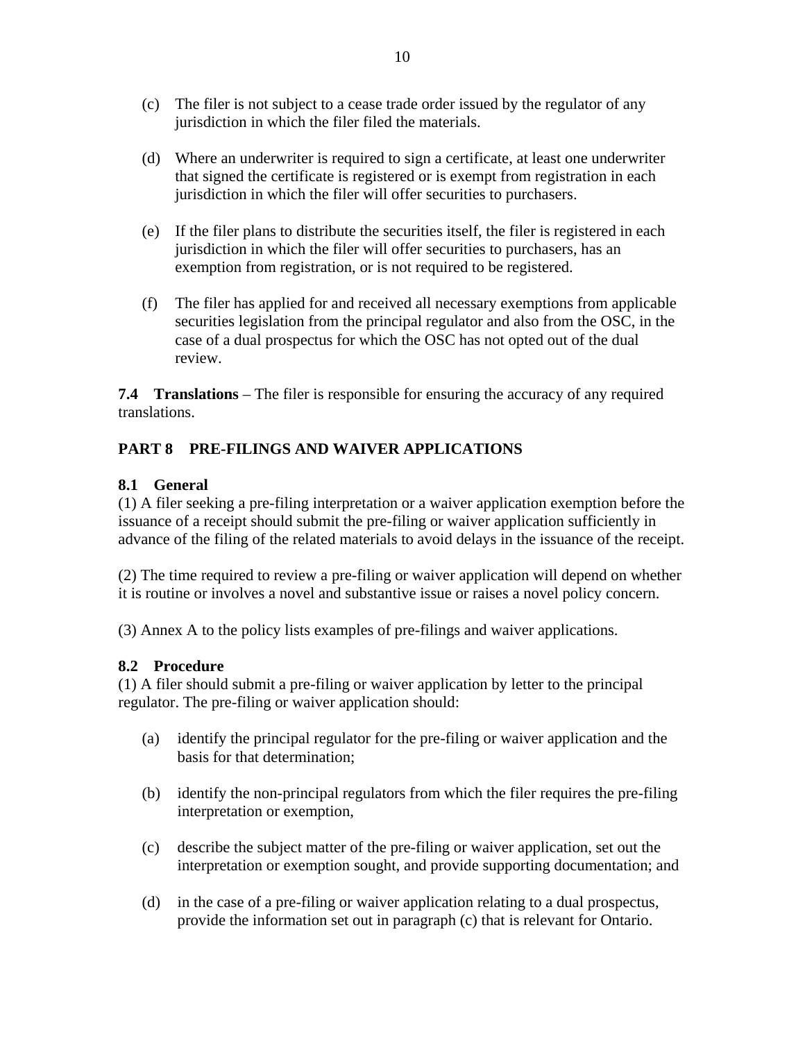- <span id="page-11-0"></span>(c) The filer is not subject to a cease trade order issued by the regulator of any jurisdiction in which the filer filed the materials.
- (d) Where an underwriter is required to sign a certificate, at least one underwriter that signed the certificate is registered or is exempt from registration in each jurisdiction in which the filer will offer securities to purchasers.
- (e) If the filer plans to distribute the securities itself, the filer is registered in each jurisdiction in which the filer will offer securities to purchasers, has an exemption from registration, or is not required to be registered.
- (f) The filer has applied for and received all necessary exemptions from applicable securities legislation from the principal regulator and also from the OSC, in the case of a dual prospectus for which the OSC has not opted out of the dual review.

**7.4 Translations** – The filer is responsible for ensuring the accuracy of any required translations.

### **PART 8 PRE-FILINGS AND WAIVER APPLICATIONS**

### **8.1 General**

(1) A filer seeking a pre-filing interpretation or a waiver application exemption before the issuance of a receipt should submit the pre-filing or waiver application sufficiently in advance of the filing of the related materials to avoid delays in the issuance of the receipt.

(2) The time required to review a pre-filing or waiver application will depend on whether it is routine or involves a novel and substantive issue or raises a novel policy concern.

(3) Annex A to the policy lists examples of pre-filings and waiver applications.

#### **8.2 Procedure**

(1) A filer should submit a pre-filing or waiver application by letter to the principal regulator. The pre-filing or waiver application should:

- (a) identify the principal regulator for the pre-filing or waiver application and the basis for that determination;
- (b) identify the non-principal regulators from which the filer requires the pre-filing interpretation or exemption,
- (c) describe the subject matter of the pre-filing or waiver application, set out the interpretation or exemption sought, and provide supporting documentation; and
- (d) in the case of a pre-filing or waiver application relating to a dual prospectus, provide the information set out in paragraph (c) that is relevant for Ontario.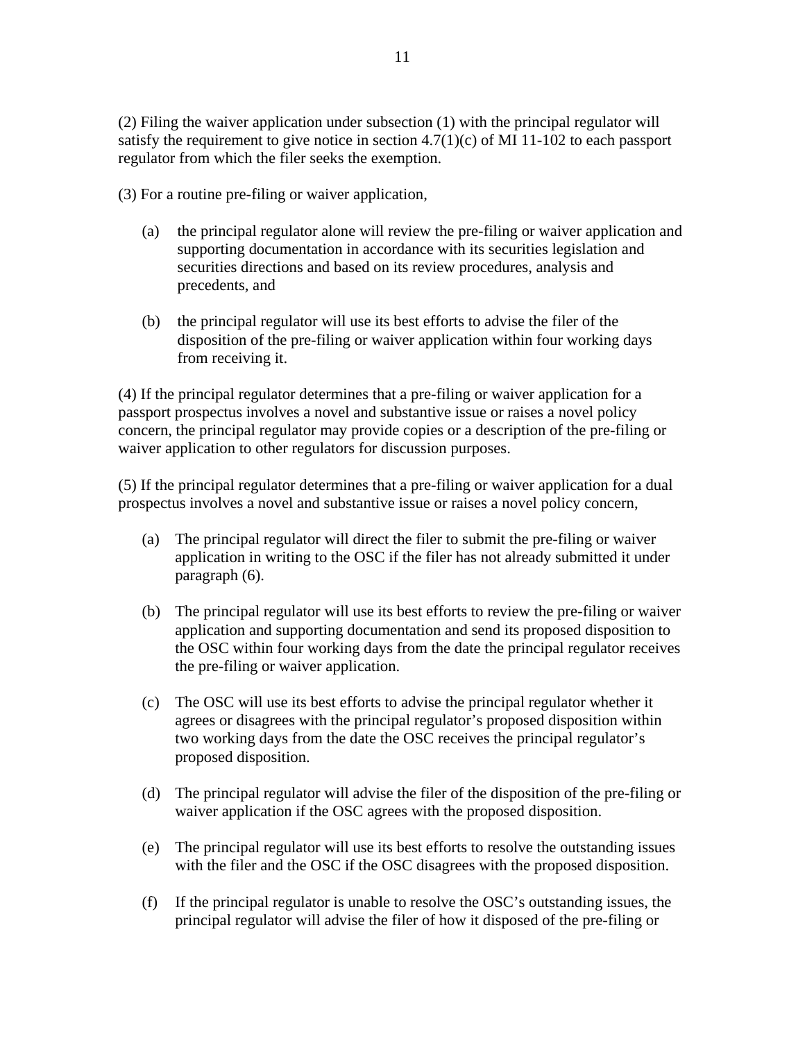(2) Filing the waiver application under subsection (1) with the principal regulator will satisfy the requirement to give notice in section  $4.7(1)(c)$  of MI 11-102 to each passport regulator from which the filer seeks the exemption.

(3) For a routine pre-filing or waiver application,

- (a) the principal regulator alone will review the pre-filing or waiver application and supporting documentation in accordance with its securities legislation and securities directions and based on its review procedures, analysis and precedents, and
- (b) the principal regulator will use its best efforts to advise the filer of the disposition of the pre-filing or waiver application within four working days from receiving it.

(4) If the principal regulator determines that a pre-filing or waiver application for a passport prospectus involves a novel and substantive issue or raises a novel policy concern, the principal regulator may provide copies or a description of the pre-filing or waiver application to other regulators for discussion purposes.

(5) If the principal regulator determines that a pre-filing or waiver application for a dual prospectus involves a novel and substantive issue or raises a novel policy concern,

- (a) The principal regulator will direct the filer to submit the pre-filing or waiver application in writing to the OSC if the filer has not already submitted it under paragraph (6).
- (b) The principal regulator will use its best efforts to review the pre-filing or waiver application and supporting documentation and send its proposed disposition to the OSC within four working days from the date the principal regulator receives the pre-filing or waiver application.
- (c) The OSC will use its best efforts to advise the principal regulator whether it agrees or disagrees with the principal regulator's proposed disposition within two working days from the date the OSC receives the principal regulator's proposed disposition.
- (d) The principal regulator will advise the filer of the disposition of the pre-filing or waiver application if the OSC agrees with the proposed disposition.
- (e) The principal regulator will use its best efforts to resolve the outstanding issues with the filer and the OSC if the OSC disagrees with the proposed disposition.
- (f) If the principal regulator is unable to resolve the OSC's outstanding issues, the principal regulator will advise the filer of how it disposed of the pre-filing or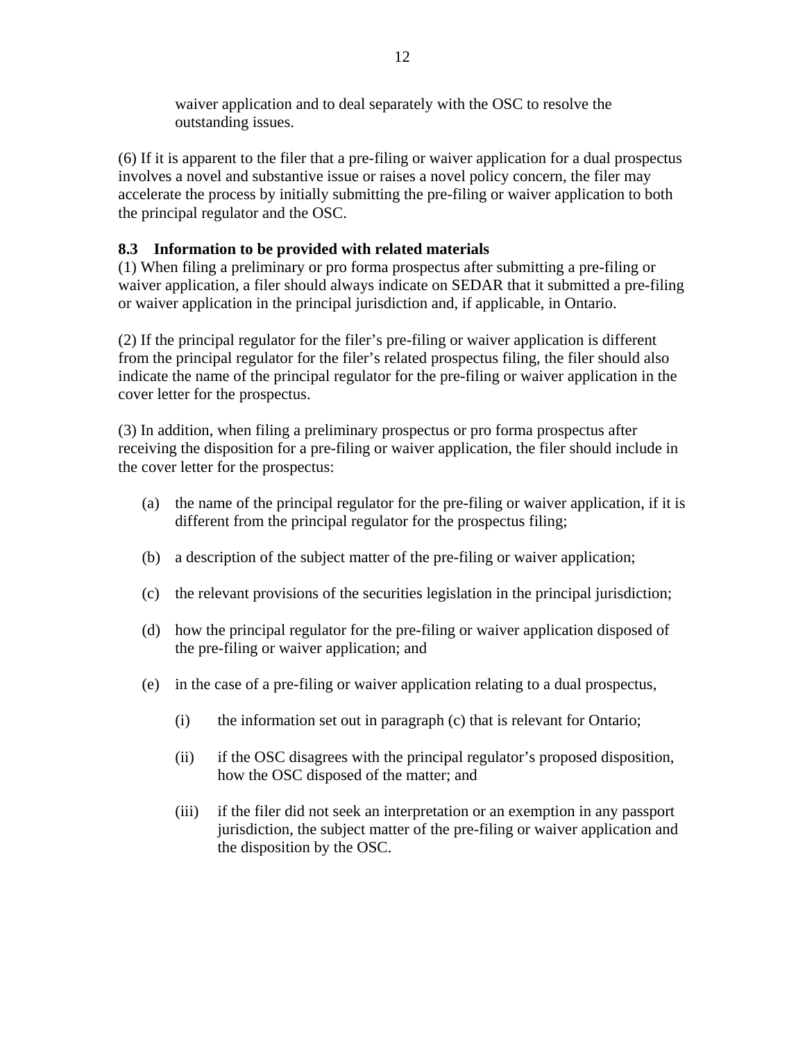waiver application and to deal separately with the OSC to resolve the outstanding issues.

<span id="page-13-0"></span>(6) If it is apparent to the filer that a pre-filing or waiver application for a dual prospectus involves a novel and substantive issue or raises a novel policy concern, the filer may accelerate the process by initially submitting the pre-filing or waiver application to both the principal regulator and the OSC.

#### **8.3 Information to be provided with related materials**

(1) When filing a preliminary or pro forma prospectus after submitting a pre-filing or waiver application, a filer should always indicate on SEDAR that it submitted a pre-filing or waiver application in the principal jurisdiction and, if applicable, in Ontario.

(2) If the principal regulator for the filer's pre-filing or waiver application is different from the principal regulator for the filer's related prospectus filing, the filer should also indicate the name of the principal regulator for the pre-filing or waiver application in the cover letter for the prospectus.

(3) In addition, when filing a preliminary prospectus or pro forma prospectus after receiving the disposition for a pre-filing or waiver application, the filer should include in the cover letter for the prospectus:

- (a) the name of the principal regulator for the pre-filing or waiver application, if it is different from the principal regulator for the prospectus filing;
- (b) a description of the subject matter of the pre-filing or waiver application;
- (c) the relevant provisions of the securities legislation in the principal jurisdiction;
- (d) how the principal regulator for the pre-filing or waiver application disposed of the pre-filing or waiver application; and
- (e) in the case of a pre-filing or waiver application relating to a dual prospectus,
	- (i) the information set out in paragraph (c) that is relevant for Ontario;
	- (ii) if the OSC disagrees with the principal regulator's proposed disposition, how the OSC disposed of the matter; and
	- (iii) if the filer did not seek an interpretation or an exemption in any passport jurisdiction, the subject matter of the pre-filing or waiver application and the disposition by the OSC.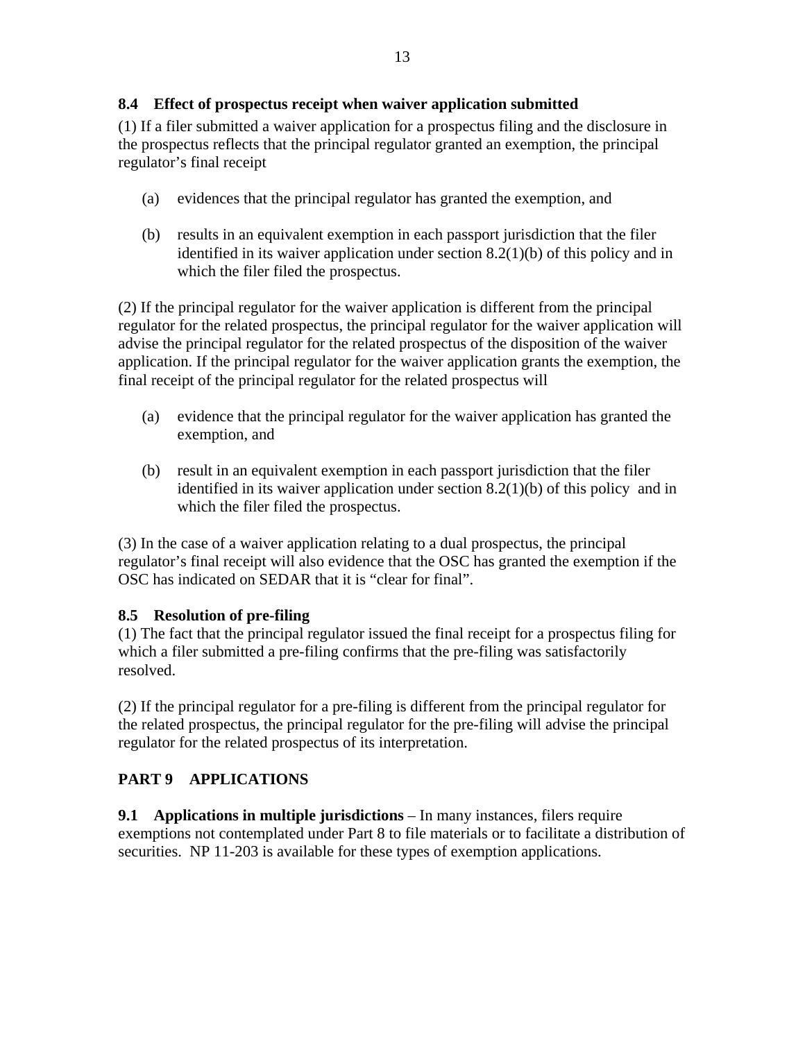### <span id="page-14-0"></span>**8.4 Effect of prospectus receipt when waiver application submitted**

(1) If a filer submitted a waiver application for a prospectus filing and the disclosure in the prospectus reflects that the principal regulator granted an exemption, the principal regulator's final receipt

- (a) evidences that the principal regulator has granted the exemption, and
- (b) results in an equivalent exemption in each passport jurisdiction that the filer identified in its waiver application under section 8.2(1)(b) of this policy and in which the filer filed the prospectus.

(2) If the principal regulator for the waiver application is different from the principal regulator for the related prospectus, the principal regulator for the waiver application will advise the principal regulator for the related prospectus of the disposition of the waiver application. If the principal regulator for the waiver application grants the exemption, the final receipt of the principal regulator for the related prospectus will

- (a) evidence that the principal regulator for the waiver application has granted the exemption, and
- (b) result in an equivalent exemption in each passport jurisdiction that the filer identified in its waiver application under section 8.2(1)(b) of this policy and in which the filer filed the prospectus.

(3) In the case of a waiver application relating to a dual prospectus, the principal regulator's final receipt will also evidence that the OSC has granted the exemption if the OSC has indicated on SEDAR that it is "clear for final".

#### **8.5 Resolution of pre-filing**

(1) The fact that the principal regulator issued the final receipt for a prospectus filing for which a filer submitted a pre-filing confirms that the pre-filing was satisfactorily resolved.

(2) If the principal regulator for a pre-filing is different from the principal regulator for the related prospectus, the principal regulator for the pre-filing will advise the principal regulator for the related prospectus of its interpretation.

### **PART 9 APPLICATIONS**

**9.1 Applications in multiple jurisdictions** – In many instances, filers require exemptions not contemplated under Part 8 to file materials or to facilitate a distribution of securities. NP 11-203 is available for these types of exemption applications.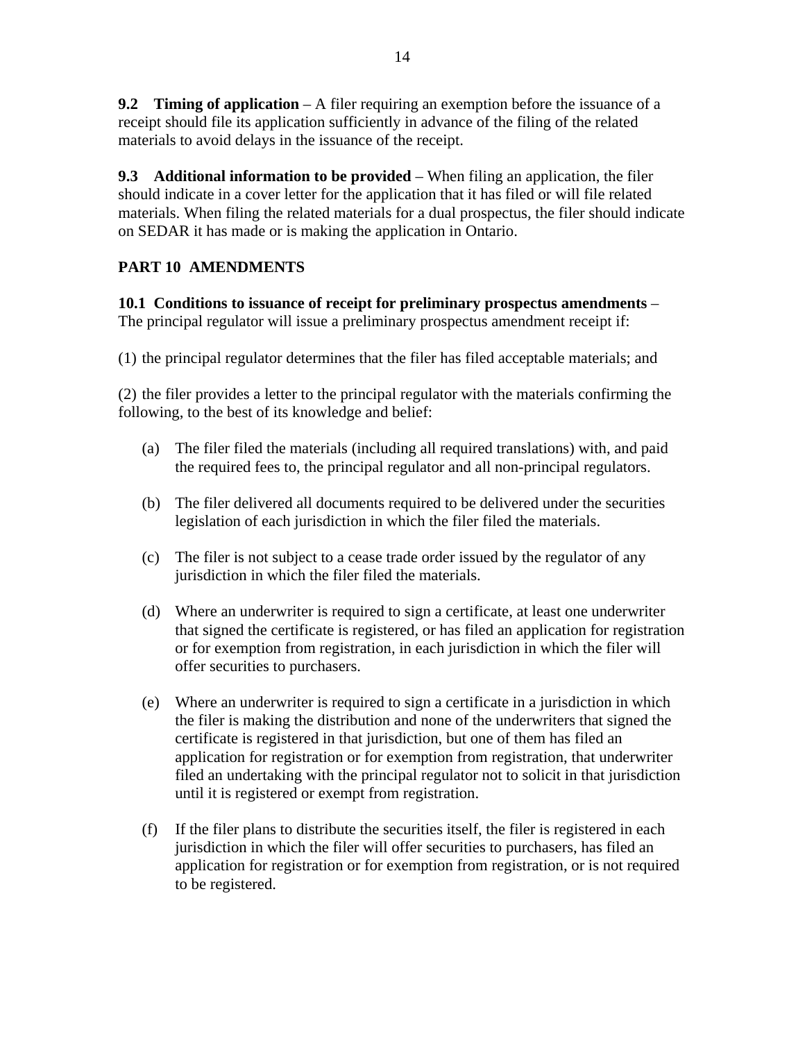<span id="page-15-0"></span>**9.2 Timing of application** – A filer requiring an exemption before the issuance of a receipt should file its application sufficiently in advance of the filing of the related materials to avoid delays in the issuance of the receipt.

**9.3 Additional information to be provided** – When filing an application, the filer should indicate in a cover letter for the application that it has filed or will file related materials. When filing the related materials for a dual prospectus, the filer should indicate on SEDAR it has made or is making the application in Ontario.

### **PART 10 AMENDMENTS**

**10.1 Conditions to issuance of receipt for preliminary prospectus amendments** – The principal regulator will issue a preliminary prospectus amendment receipt if:

(1) the principal regulator determines that the filer has filed acceptable materials; and

(2) the filer provides a letter to the principal regulator with the materials confirming the following, to the best of its knowledge and belief:

- (a) The filer filed the materials (including all required translations) with, and paid the required fees to, the principal regulator and all non-principal regulators.
- (b) The filer delivered all documents required to be delivered under the securities legislation of each jurisdiction in which the filer filed the materials.
- (c) The filer is not subject to a cease trade order issued by the regulator of any jurisdiction in which the filer filed the materials.
- (d) Where an underwriter is required to sign a certificate, at least one underwriter that signed the certificate is registered, or has filed an application for registration or for exemption from registration, in each jurisdiction in which the filer will offer securities to purchasers.
- (e) Where an underwriter is required to sign a certificate in a jurisdiction in which the filer is making the distribution and none of the underwriters that signed the certificate is registered in that jurisdiction, but one of them has filed an application for registration or for exemption from registration, that underwriter filed an undertaking with the principal regulator not to solicit in that jurisdiction until it is registered or exempt from registration.
- (f) If the filer plans to distribute the securities itself, the filer is registered in each jurisdiction in which the filer will offer securities to purchasers, has filed an application for registration or for exemption from registration, or is not required to be registered.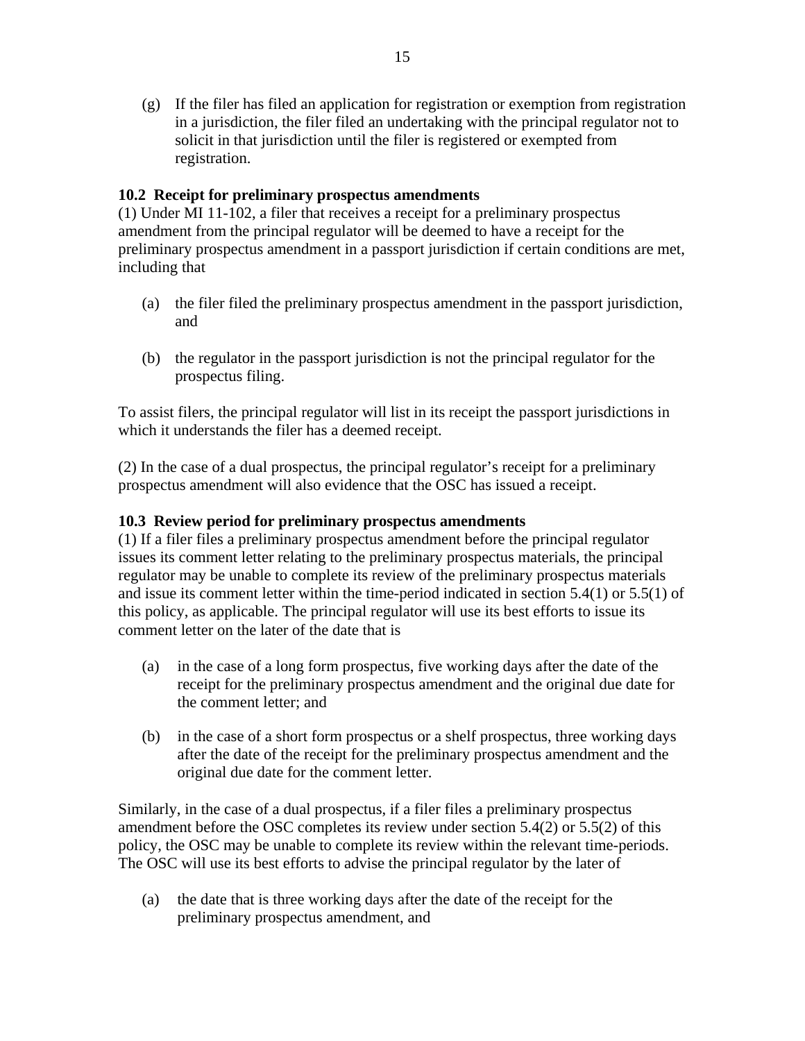<span id="page-16-0"></span>(g) If the filer has filed an application for registration or exemption from registration in a jurisdiction, the filer filed an undertaking with the principal regulator not to solicit in that jurisdiction until the filer is registered or exempted from registration.

#### **10.2 Receipt for preliminary prospectus amendments**

(1) Under MI 11-102, a filer that receives a receipt for a preliminary prospectus amendment from the principal regulator will be deemed to have a receipt for the preliminary prospectus amendment in a passport jurisdiction if certain conditions are met, including that

- (a) the filer filed the preliminary prospectus amendment in the passport jurisdiction, and
- (b) the regulator in the passport jurisdiction is not the principal regulator for the prospectus filing.

To assist filers, the principal regulator will list in its receipt the passport jurisdictions in which it understands the filer has a deemed receipt.

(2) In the case of a dual prospectus, the principal regulator's receipt for a preliminary prospectus amendment will also evidence that the OSC has issued a receipt.

#### **10.3 Review period for preliminary prospectus amendments**

(1) If a filer files a preliminary prospectus amendment before the principal regulator issues its comment letter relating to the preliminary prospectus materials, the principal regulator may be unable to complete its review of the preliminary prospectus materials and issue its comment letter within the time-period indicated in section 5.4(1) or 5.5(1) of this policy, as applicable. The principal regulator will use its best efforts to issue its comment letter on the later of the date that is

- (a) in the case of a long form prospectus, five working days after the date of the receipt for the preliminary prospectus amendment and the original due date for the comment letter; and
- (b) in the case of a short form prospectus or a shelf prospectus, three working days after the date of the receipt for the preliminary prospectus amendment and the original due date for the comment letter.

Similarly, in the case of a dual prospectus, if a filer files a preliminary prospectus amendment before the OSC completes its review under section 5.4(2) or 5.5(2) of this policy, the OSC may be unable to complete its review within the relevant time-periods. The OSC will use its best efforts to advise the principal regulator by the later of

(a) the date that is three working days after the date of the receipt for the preliminary prospectus amendment, and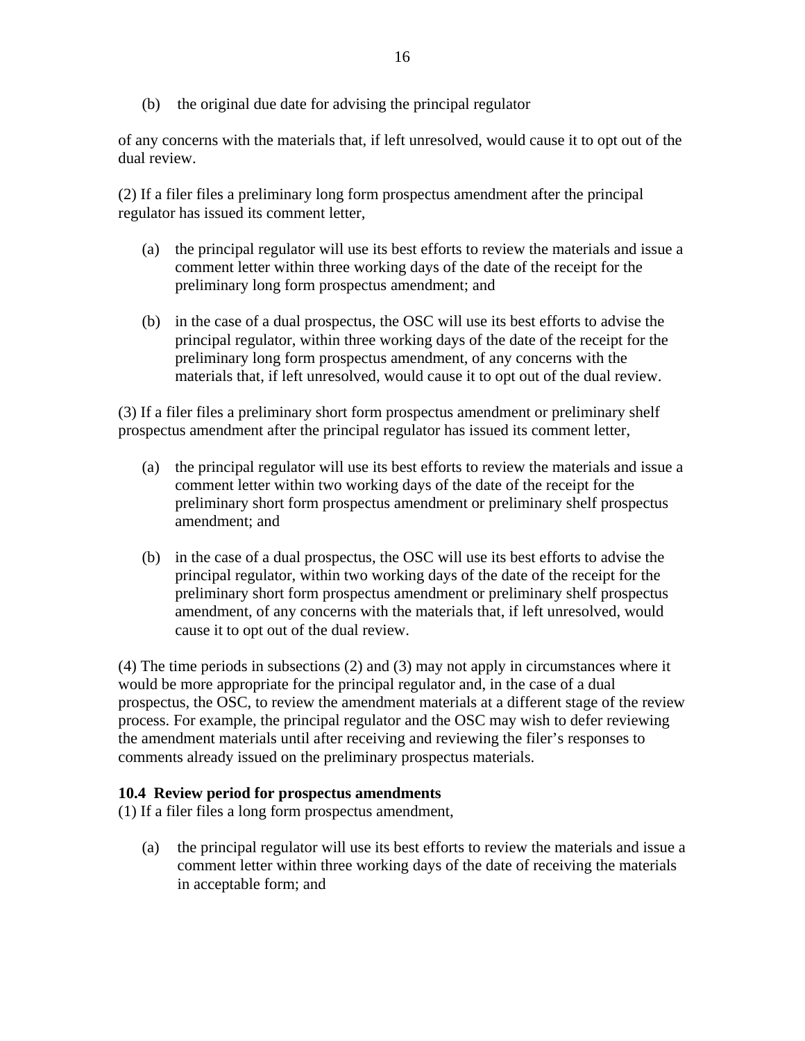<span id="page-17-0"></span>(b) the original due date for advising the principal regulator

of any concerns with the materials that, if left unresolved, would cause it to opt out of the dual review.

(2) If a filer files a preliminary long form prospectus amendment after the principal regulator has issued its comment letter,

- (a) the principal regulator will use its best efforts to review the materials and issue a comment letter within three working days of the date of the receipt for the preliminary long form prospectus amendment; and
- (b) in the case of a dual prospectus, the OSC will use its best efforts to advise the principal regulator, within three working days of the date of the receipt for the preliminary long form prospectus amendment, of any concerns with the materials that, if left unresolved, would cause it to opt out of the dual review.

(3) If a filer files a preliminary short form prospectus amendment or preliminary shelf prospectus amendment after the principal regulator has issued its comment letter,

- (a) the principal regulator will use its best efforts to review the materials and issue a comment letter within two working days of the date of the receipt for the preliminary short form prospectus amendment or preliminary shelf prospectus amendment; and
- (b) in the case of a dual prospectus, the OSC will use its best efforts to advise the principal regulator, within two working days of the date of the receipt for the preliminary short form prospectus amendment or preliminary shelf prospectus amendment, of any concerns with the materials that, if left unresolved, would cause it to opt out of the dual review.

(4) The time periods in subsections (2) and (3) may not apply in circumstances where it would be more appropriate for the principal regulator and, in the case of a dual prospectus, the OSC, to review the amendment materials at a different stage of the review process. For example, the principal regulator and the OSC may wish to defer reviewing the amendment materials until after receiving and reviewing the filer's responses to comments already issued on the preliminary prospectus materials.

#### **10.4 Review period for prospectus amendments**

(1) If a filer files a long form prospectus amendment,

(a) the principal regulator will use its best efforts to review the materials and issue a comment letter within three working days of the date of receiving the materials in acceptable form; and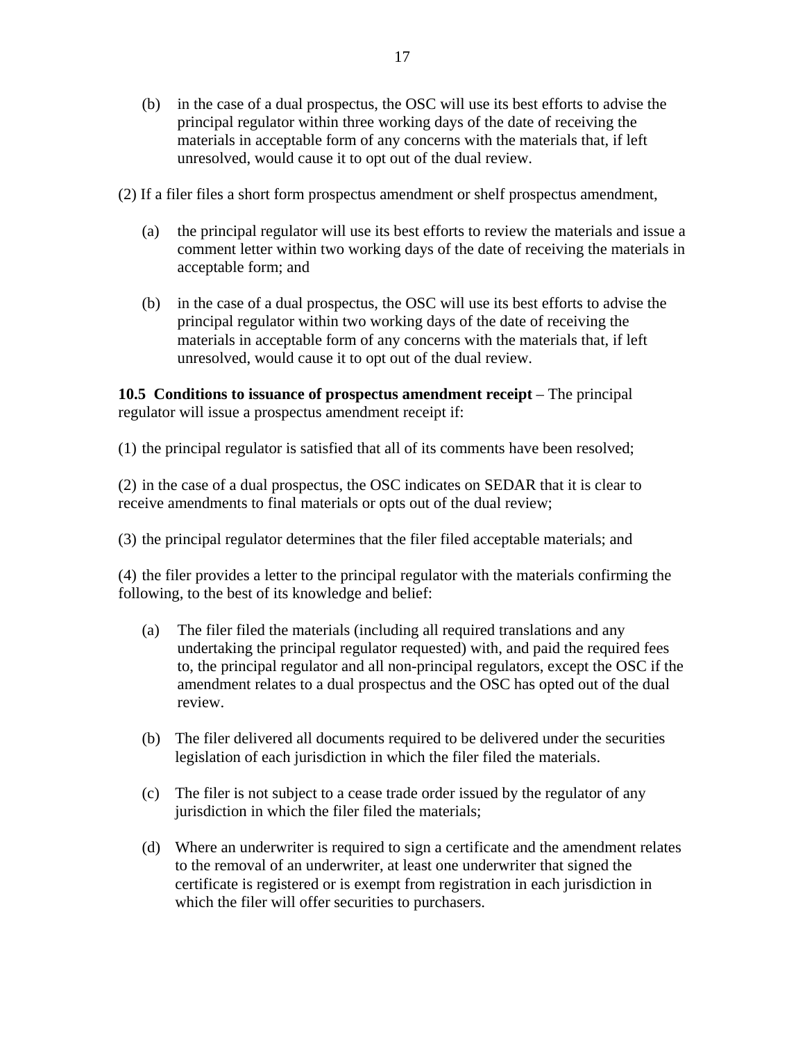<span id="page-18-0"></span>(b) in the case of a dual prospectus, the OSC will use its best efforts to advise the principal regulator within three working days of the date of receiving the materials in acceptable form of any concerns with the materials that, if left unresolved, would cause it to opt out of the dual review.

(2) If a filer files a short form prospectus amendment or shelf prospectus amendment,

- (a) the principal regulator will use its best efforts to review the materials and issue a comment letter within two working days of the date of receiving the materials in acceptable form; and
- (b) in the case of a dual prospectus, the OSC will use its best efforts to advise the principal regulator within two working days of the date of receiving the materials in acceptable form of any concerns with the materials that, if left unresolved, would cause it to opt out of the dual review.

**10.5 Conditions to issuance of prospectus amendment receipt** – The principal regulator will issue a prospectus amendment receipt if:

(1) the principal regulator is satisfied that all of its comments have been resolved;

(2) in the case of a dual prospectus, the OSC indicates on SEDAR that it is clear to receive amendments to final materials or opts out of the dual review;

(3) the principal regulator determines that the filer filed acceptable materials; and

(4) the filer provides a letter to the principal regulator with the materials confirming the following, to the best of its knowledge and belief:

- (a) The filer filed the materials (including all required translations and any undertaking the principal regulator requested) with, and paid the required fees to, the principal regulator and all non-principal regulators, except the OSC if the amendment relates to a dual prospectus and the OSC has opted out of the dual review.
- (b) The filer delivered all documents required to be delivered under the securities legislation of each jurisdiction in which the filer filed the materials.
- (c) The filer is not subject to a cease trade order issued by the regulator of any jurisdiction in which the filer filed the materials;
- (d) Where an underwriter is required to sign a certificate and the amendment relates to the removal of an underwriter, at least one underwriter that signed the certificate is registered or is exempt from registration in each jurisdiction in which the filer will offer securities to purchasers.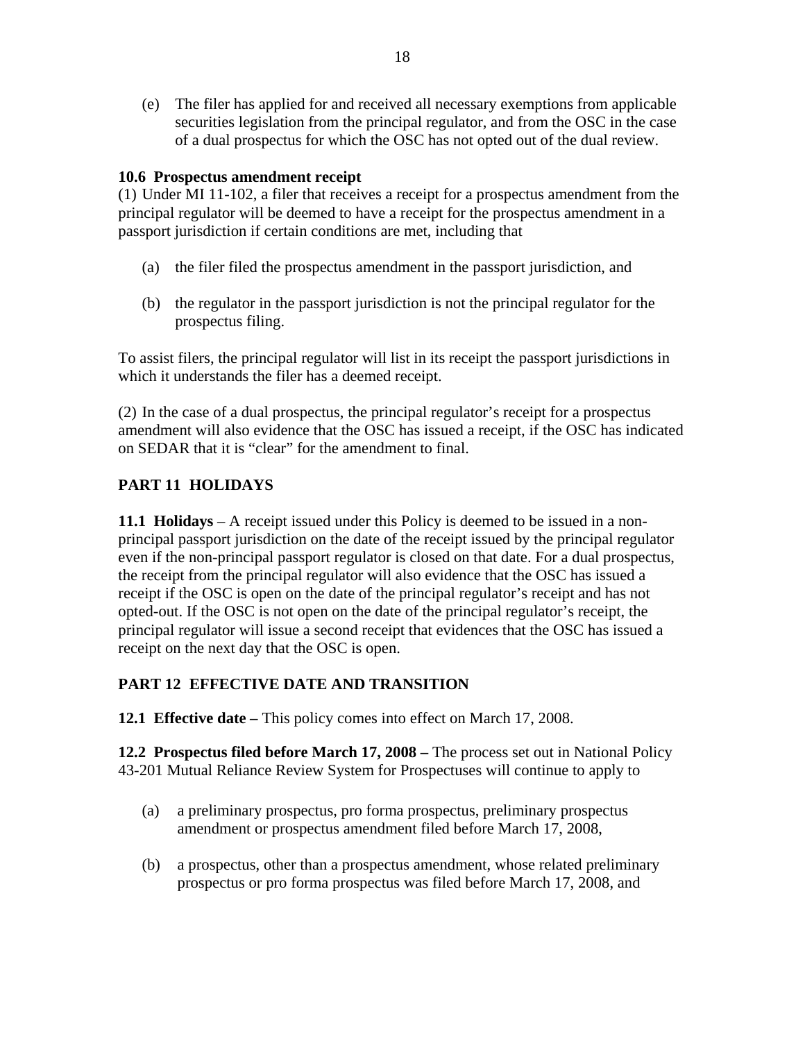<span id="page-19-0"></span>(e) The filer has applied for and received all necessary exemptions from applicable securities legislation from the principal regulator, and from the OSC in the case of a dual prospectus for which the OSC has not opted out of the dual review.

#### **10.6 Prospectus amendment receipt**

(1) Under MI 11-102, a filer that receives a receipt for a prospectus amendment from the principal regulator will be deemed to have a receipt for the prospectus amendment in a passport jurisdiction if certain conditions are met, including that

- (a) the filer filed the prospectus amendment in the passport jurisdiction, and
- (b) the regulator in the passport jurisdiction is not the principal regulator for the prospectus filing.

To assist filers, the principal regulator will list in its receipt the passport jurisdictions in which it understands the filer has a deemed receipt.

(2) In the case of a dual prospectus, the principal regulator's receipt for a prospectus amendment will also evidence that the OSC has issued a receipt, if the OSC has indicated on SEDAR that it is "clear" for the amendment to final.

### **PART 11 HOLIDAYS**

**11.1 Holidays** – A receipt issued under this Policy is deemed to be issued in a nonprincipal passport jurisdiction on the date of the receipt issued by the principal regulator even if the non-principal passport regulator is closed on that date. For a dual prospectus, the receipt from the principal regulator will also evidence that the OSC has issued a receipt if the OSC is open on the date of the principal regulator's receipt and has not opted-out. If the OSC is not open on the date of the principal regulator's receipt, the principal regulator will issue a second receipt that evidences that the OSC has issued a receipt on the next day that the OSC is open.

#### **PART 12 EFFECTIVE DATE AND TRANSITION**

**12.1 Effective date** – This policy comes into effect on March 17, 2008.

**12.2 Prospectus filed before March 17, 2008** *–* The process set out in National Policy 43-201 Mutual Reliance Review System for Prospectuses will continue to apply to

- (a) a preliminary prospectus, pro forma prospectus, preliminary prospectus amendment or prospectus amendment filed before March 17, 2008,
- (b) a prospectus, other than a prospectus amendment, whose related preliminary prospectus or pro forma prospectus was filed before March 17, 2008, and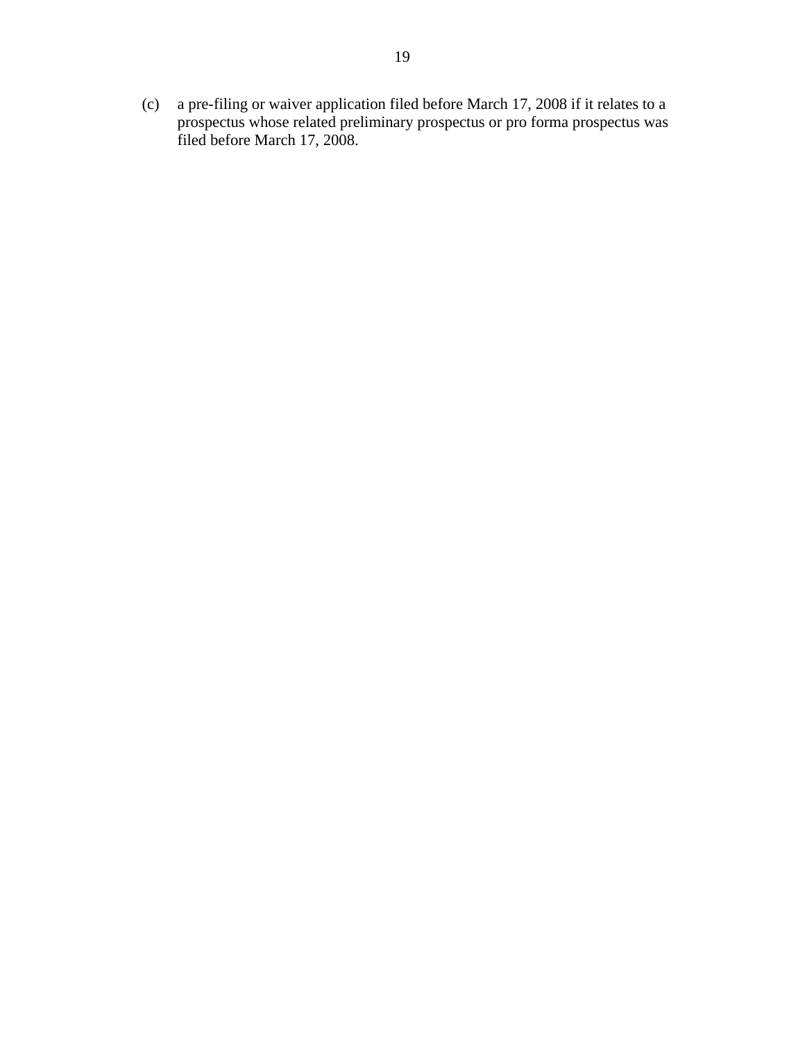(c) a pre-filing or waiver application filed before March 17, 2008 if it relates to a prospectus whose related preliminary prospectus or pro forma prospectus was filed before March 17, 2008.